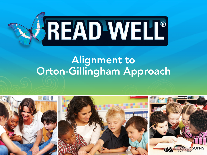

# Alignment to Orton-Gillingham Approach

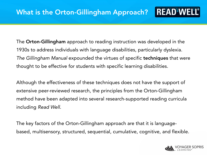The Orton-Gillingham approach to reading instruction was developed in the 1930s to address individuals with language disabilities, particularly dyslexia. *The Gillingham Manual* expounded the virtues of specific techniques that were thought to be effective for students with specific learning disabilities*.* 

Although the effectiveness of these techniques does not have the support of extensive peer-reviewed research, the principles from the Orton-Gillingham method have been adapted into several research-supported reading curricula including *Read Well*.

The key factors of the Orton-Gillingham approach are that it is languagebased, multisensory, structured, sequential, cumulative, cognitive, and flexible.

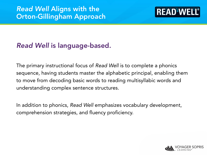

### *Read Well* is language-based.

The primary instructional focus of *Read Well* is to complete a phonics sequence, having students master the alphabetic principal, enabling them to move from decoding basic words to reading multisyllabic words and understanding complex sentence structures.

In addition to phonics, *Read Well* emphasizes vocabulary development, comprehension strategies, and fluency proficiency.

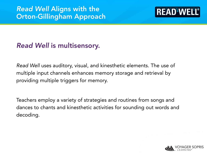

#### *Read Well* is multisensory.

*Read Well* uses auditory, visual, and kinesthetic elements. The use of multiple input channels enhances memory storage and retrieval by providing multiple triggers for memory.

Teachers employ a variety of strategies and routines from songs and dances to chants and kinesthetic activities for sounding out words and decoding.

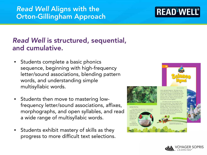### *Read Well* is structured, sequential, and cumulative.

- Students complete a basic phonics sequence, beginning with high-frequency letter/sound associations, blending pattern words, and understanding simple multisyllabic words.
- Students then move to mastering lowfrequency letter/sound associations, affixes, morphographs, and open syllables, and read a wide range of multisyllabic words.
- Students exhibit mastery of skills as they progress to more difficult text selections.



#### *Read Well* Aligns with the Orton-Gillingham Approach



is looking very carefull for food. It almost misses the sma brutht-oneen sleeping in th Suddenb the sleeping fro senses the bin



**READ WELL®**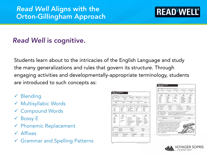#### *Read Well* Aligns with the Orton-Gillingham Approach

## **READ WELL®**

### *Read Well* is cognitive.

Students learn about to the intricacies of the English Language and study the many generalizations and rules that govern its structure. Through engaging activities and developmentally-appropriate terminology, students are introduced to such concepts as:

- $\checkmark$  Blending
- $\checkmark$  Multisyllabic Words
- Compound Words
- $\checkmark$  Bossy E
- $\checkmark$  Phonemic Replacement
- $\sqrt{\phantom{a}}$ Affixes
- Grammar and Spelling Patterns

| œ             | O. Businlying          | U. Can in Date | <b>DO</b> as in owns                                                                        | igh wir fisk                                                                                                                      | CSE existem                                  |  |
|---------------|------------------------|----------------|---------------------------------------------------------------------------------------------|-----------------------------------------------------------------------------------------------------------------------------------|----------------------------------------------|--|
| œ             | d                      | $-$ dist       | œ                                                                                           | 4i                                                                                                                                | ie.                                          |  |
|               |                        |                |                                                                                             | 2. SHFTY WORD BLDVDING for extremel has extensive units units and extensive the mattheweal                                        |                                              |  |
|               | blues                  | clues          | <b>Cluves</b>                                                                               | izwa                                                                                                                              | <b>DAWS</b>                                  |  |
| abels salary. |                        |                |                                                                                             | 3. SOUND PEACTICE in extra cause, taxe submit get and up the load, that Up by undertracked profile word their flow submit mad the |                                              |  |
|               | ei                     | km             | ph                                                                                          | $^{56}$                                                                                                                           | Mixed Practice                               |  |
| coil          |                        | known          | paragraph                                                                                   | throat                                                                                                                            | awhile                                       |  |
|               | vaice                  | knot           | phrase                                                                                      | road                                                                                                                              | faces                                        |  |
| spoil         |                        | <b>KDTN</b>    | photograph                                                                                  | boat                                                                                                                              | sweat.                                       |  |
| hurt          | laree<br>lizhts        | I would.<br>rа | cam-er-as<br>pho-top-ra-phers.<br>mi-cro-phone<br>ner« vous<br>wack-n                       | cameras<br>photographers.<br>microphone<br><b>DECVOUS</b><br>wackn                                                                | serious<br>provident.<br>shoulders<br>course |  |
| œ             | stormed                |                | 5. WORD ENDINGS the notes such to ontained work that the word with a subg<br>flished        |                                                                                                                                   | rubbed                                       |  |
| œ             |                        | swarmed        |                                                                                             |                                                                                                                                   | taken                                        |  |
|               |                        |                | millions<br>6. PICKP-EDGRAPHS AND APPOSIS Has staten rest set unterimit and per inan in and |                                                                                                                                   |                                              |  |
| ω             | vacation               | information    | commotion                                                                                   | station                                                                                                                           |                                              |  |
| $\infty$      | deterribe<br>reporters |                | <b>Joyable</b>                                                                              |                                                                                                                                   | ussesi                                       |  |

| <b>Tob</b> fr                  | <b>Business</b>                                                                                                                | 00 stin hock                                                | OWashors                                                      | GL min caple       |
|--------------------------------|--------------------------------------------------------------------------------------------------------------------------------|-------------------------------------------------------------|---------------------------------------------------------------|--------------------|
| $\alpha$<br>ir                 | o e                                                                                                                            | av                                                          | Le                                                            | CH1                |
|                                | 3. ACCURACY/FLUENCY BUILDING The suit-select from markets can precise that the real early start, have from them mad the adults |                                                             |                                                               |                    |
| A1<br>HardFreshe               | B1<br>Multim faith Words                                                                                                       | C١<br><b>Mari Endrys</b>                                    | D1<br><b>Movi Indep.</b>                                      | E1<br>Tricky Words |
| cocuse                         | cettage                                                                                                                        | hamdle                                                      | lobsters.                                                     | cough              |
| author                         | disguise                                                                                                                       | handling                                                    | telephoned                                                    | brilliant          |
| blond                          | triple                                                                                                                         | invite                                                      | smadged                                                       | <i>ustird</i> .    |
| aleng                          | timid                                                                                                                          | inviting                                                    | kidnapping                                                    | dathle             |
| nutty                          | explanation                                                                                                                    |                                                             | recoared                                                      | honest             |
| scheme (skeem)<br>sus-pi-cious | I WORDS IN CONTEXT - two submit and the transmit per train and descriptions and TDGTEXT JR 2020 VI 2020 VI                     | He came up with a scheme to make money.                     | Wallace was suspicious of the nervous man with a falce beard. |                    |
| 5. SCANNIS AND RUADES Home     |                                                                                                                                | a capital packed and mort sure that know to have not the pr |                                                               |                    |
|                                | Connecticut                                                                                                                    | Moose Manor                                                 |                                                               | Maine              |
|                                | 5. GENERALIZATION: Has extens real de programation), then not tool. Plan words bureens, man, politic fuldy during              |                                                             |                                                               |                    |

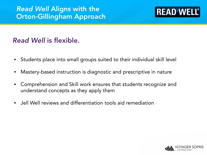#### *Read Well* Aligns with the Orton-Gillingham Approach

### **READ WELL®**

#### *Read Well* is flexible.

- Students place into small groups suited to their individual skill level
- Mastery-based instruction is diagnostic and prescriptive in nature
- Comprehension and Skill work ensures that students recognize and understand concepts as they apply them
- Jell Well reviews and differentiation tools aid remediation